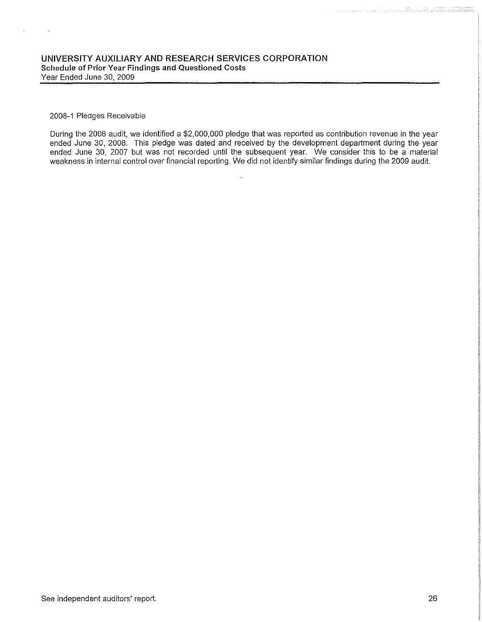### 2008-1 Pledges Receivable

 $\sim 10$ 

 $\bar{z}$ 

During the 2008 audit, we identified a \$2,000,000 pledge that was reported as contribution revenue in the year ended June 30, 2008. This pledge was dated and received by the development department during the year ended June 30, 2007 but was not recorded until the subsequent year. We consider this to be a material weakness in internal control over financial reporting. We did not identify similar findings during the 2009 audit.

i<br>Pras

<u>. Katalian nyaéta kacamat</u>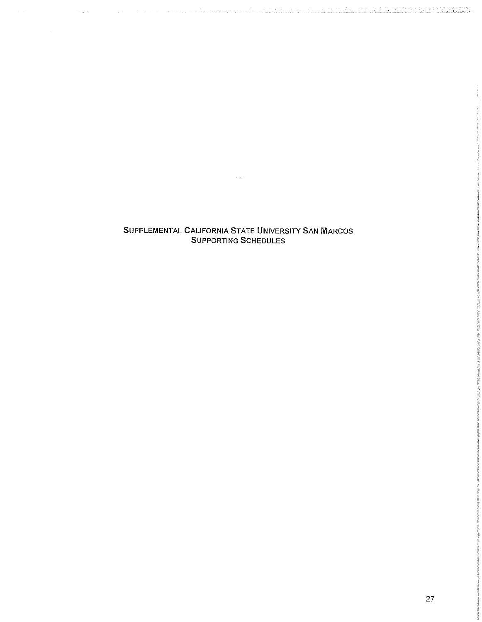SUPPLEMENTAL CALIFORNIA STATE UNIVERSITY SAN MARCOS SUPPORTING SCHEDULES

 $\sim$   $\omega_{\rm m}$ 

a ka kacamatan ing kabupatèn Kabupatèn Bangung Kabupatèn Bangung Kabupatèn Kabupatèn Kabupatèn Kabupatèn Kabup

 $\sim 10^6$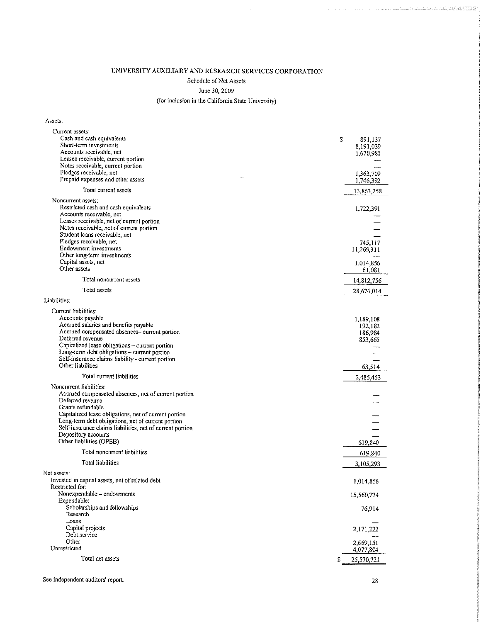### UNIVERSITY AUXILIARY AND RESEARCH SERVICES CORPORATION

Schedule of Net Assets

### June 30, 2009

### (for inclusion in the California State University)

Assets:

 $\sim 10^7$ 

| Current assets:<br>Cash and cash equivalents<br>Short-term investments<br>Accounts receivable, net<br>Leases receivable, current portion<br>Notes receivable, current portion<br>Pledges receivable, net<br>Prepaid expenses and other assets                                                                               | \$ | 891,137<br>8,191,039<br>1,670,981<br>1,363,709 |
|-----------------------------------------------------------------------------------------------------------------------------------------------------------------------------------------------------------------------------------------------------------------------------------------------------------------------------|----|------------------------------------------------|
| Total current assets                                                                                                                                                                                                                                                                                                        |    | 1,746,392                                      |
| Noncurrent assets:                                                                                                                                                                                                                                                                                                          |    | 13,863,258                                     |
| Restricted cash and cash equivalents<br>Accounts receivable, net<br>Leases receivable, net of current portion<br>Notes receivable, net of current portion<br>Student loans receivable, net                                                                                                                                  |    | 1,722,391                                      |
| Pledges receivable, net                                                                                                                                                                                                                                                                                                     |    | 745,117                                        |
| Endowment investments<br>Other long-term investments                                                                                                                                                                                                                                                                        |    | 11,269,311                                     |
| Capital assets, net                                                                                                                                                                                                                                                                                                         |    | 1,014,856                                      |
| Other assets                                                                                                                                                                                                                                                                                                                |    | 61,081                                         |
| Total noncurrent assets                                                                                                                                                                                                                                                                                                     |    | 14,812,756                                     |
| Total assets                                                                                                                                                                                                                                                                                                                |    | 28,676,014                                     |
| Liabilities:                                                                                                                                                                                                                                                                                                                |    |                                                |
| Current liabilities:<br>Accounts pavable<br>Accrued salaries and benefits payable<br>Accrued compensated absences- current portion<br>Deferred revenue<br>Capitalized lease obligations - current portion                                                                                                                   |    | 1,189,108<br>192,182<br>186,984<br>853,665     |
| Long-term debt obligations - current portion<br>Self-insurance claims liability - current portion<br>Other liabilities                                                                                                                                                                                                      |    | 63,514                                         |
| Total current liabilities                                                                                                                                                                                                                                                                                                   |    | 2,485,453                                      |
| Noncurrent liabilities:<br>Accrued compensated absences, net of current portion<br>Deferred revenue<br>Grants refundable<br>Capitalized lease obligations, net of current portion<br>Long-term debt obligations, net of current portion<br>Self-insurance claims liabilities, net of current portion<br>Depository accounts |    |                                                |
| Other liabilities (OPEB)                                                                                                                                                                                                                                                                                                    |    | 619,840                                        |
| Total noncurrent liabilities                                                                                                                                                                                                                                                                                                |    | 619,840                                        |
| Total liabilities                                                                                                                                                                                                                                                                                                           |    | 3,105,293                                      |
| Net assets:<br>Invested in capital assets, net of related debt<br>Restricted for:                                                                                                                                                                                                                                           |    | 1,014,856                                      |
| Nonexpendable - endowments                                                                                                                                                                                                                                                                                                  |    | 15,560,774                                     |
| Expendable:<br>Scholarships and fellowships<br>Research                                                                                                                                                                                                                                                                     |    | 76,914                                         |
| Loans<br>Capital projects                                                                                                                                                                                                                                                                                                   |    |                                                |
| Debt service                                                                                                                                                                                                                                                                                                                |    | 2,171,222                                      |
| Other<br>Unrestricted                                                                                                                                                                                                                                                                                                       |    | 2,669,151<br>4,077,804                         |
| Total net assets                                                                                                                                                                                                                                                                                                            | S  | 25,570,721                                     |
|                                                                                                                                                                                                                                                                                                                             |    |                                                |

### See independent auditors' report. 28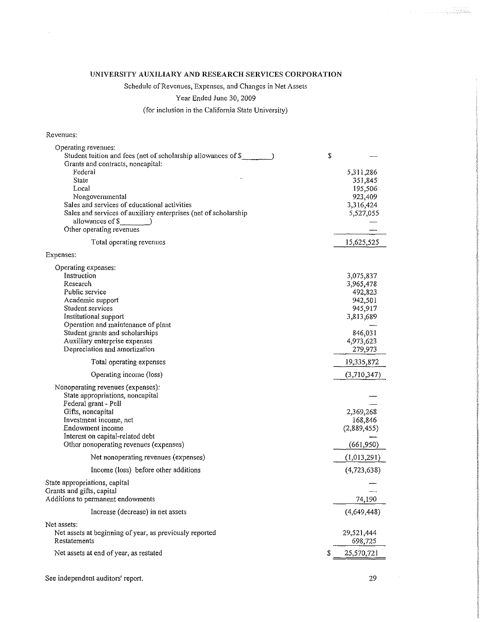### UNIVERSITY AUXILIARY AND RESEARCH SERVICES CORPORATION

Schedule of Revenues, Expenses, and Changes in Net Assets

Year Ended June 30, 2009

(for inclusion in the California State University)

### Revenues:

 $\mathcal{A}^{\mathcal{A}}_{\mathcal{A}}$  and  $\mathcal{A}^{\mathcal{A}}_{\mathcal{A}}$ 

| Operating revenues:                                             |   |             |
|-----------------------------------------------------------------|---|-------------|
| Student tuition and fees (net of scholarship allowances of \$   | S |             |
| Grants and contracts, noncapital:                               |   |             |
| Federal                                                         |   | 5,311,286   |
| State                                                           |   | 351,845     |
| Local                                                           |   | 195,506     |
| Nongovernmental                                                 |   | 923,409     |
|                                                                 |   |             |
| Sales and services of educational activities                    |   | 3,316,424   |
| Sales and services of auxiliary enterprises (net of scholarship |   | 5,527,055   |
| allowances of \$                                                |   |             |
| Other operating revenues                                        |   |             |
| Total operating revenues                                        |   | 15,625,525  |
| Expenses:                                                       |   |             |
| Operating expenses:                                             |   |             |
| Instruction                                                     |   | 3,075,837   |
| Research                                                        |   | 3,965,478   |
| Public service                                                  |   |             |
|                                                                 |   | 492,823     |
| Academic support                                                |   | 942,501     |
| Student services                                                |   | 945,917     |
| Institutional support                                           |   | 3,813,689   |
| Operation and maintenance of plant                              |   |             |
| Student grants and scholarships                                 |   | 846,031     |
| Auxiliary enterprise expenses                                   |   | 4,973,623   |
| Depreciation and amortization                                   |   | 279,973     |
| Total operating expenses                                        |   | 19,335,872  |
| Operating income (loss)                                         |   | (3,710,347) |
|                                                                 |   |             |
| Nonoperating revenues (expenses):                               |   |             |
| State appropriations, noncapital                                |   |             |
| Federal grant - Pell                                            |   |             |
| Gifts, noncapital                                               |   | 2,369,268   |
| Investment income, net                                          |   | 168,846     |
| Endowment income                                                |   | (2,889,455) |
| Interest on capital-related debt                                |   |             |
| Other nonoperating revenues (expenses)                          |   | (661,950)   |
| Net nonoperating revenues (expenses)                            |   | (1,013,291) |
| Income (loss) before other additions                            |   | (4,723,638) |
| State appropriations, capital                                   |   |             |
| Grants and gifts, capital                                       |   |             |
| Additions to permanent endowments                               |   | 74,190      |
|                                                                 |   |             |
| Increase (decrease) in net assets                               |   | (4,649,448) |
| Net assets:                                                     |   |             |
| Net assets at beginning of year, as previously reported         |   | 29,521,444  |
| Restatements                                                    |   | 698,725     |
| Net assets at end of year, as restated                          | S | 25,570,721  |
|                                                                 |   |             |

 $\mathcal{L}^{\pm}$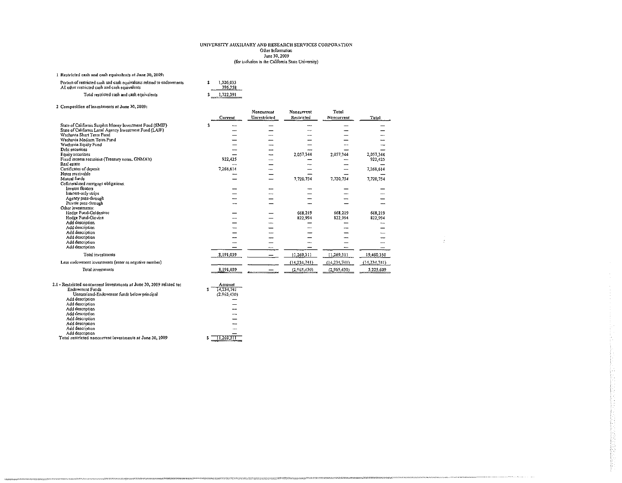### UNIVERSITY AUXILIARY AND RESEARCH SERVICES CORPORATION Other Information June 30, 2009 (for inclusion in the California State University)

menton Tournamer Australia Resear

 $\frac{1}{2}$ 

Į.

### 1 Restricted cash and cash equivalents at June 30, 2009:

| Portion of restricted cash and cash equivalents related to endowments<br>All other restricted cash and cash equivalents | 1.326.033<br>396,358 |
|-------------------------------------------------------------------------------------------------------------------------|----------------------|
| Total restricted cash and cash equivalents                                                                              | \$1,722,391          |

### 2 Composition of investments at June 30, 2009:

| Composition of integrations at Bang and Book             | Current   | Noncurrent<br>Unrestricted | Noncurrent<br>Restricted | Total<br>Noncurrent | Total          |
|----------------------------------------------------------|-----------|----------------------------|--------------------------|---------------------|----------------|
| State of California Surplus Money Investment Fund (SMIF) | 2         |                            |                          |                     |                |
| State of California Local Agency Investment Fund (LAIF)  |           |                            |                          |                     |                |
| Wachovia Short Term Fund                                 |           |                            |                          |                     |                |
| Wachovia Medium Term Fund                                |           |                            |                          |                     |                |
| Wachovia Equity Fund                                     |           |                            |                          |                     |                |
| Debt securities                                          |           |                            |                          |                     |                |
| Equity securities                                        |           | ----                       | 2 057 344                | 2.057,344           | 2,057,344      |
| Fixed income securities (Treasury notes, GNMA's)         | 922,425   | <b>Marine</b>              |                          |                     | 922,425        |
| Real estate                                              |           |                            |                          |                     |                |
| Certificates of deposit                                  | 7,268,614 |                            |                          |                     | 7,268,614      |
| Notes receivable                                         |           |                            |                          |                     |                |
| Mutual funds                                             |           |                            | 7.720.754                | 7,720,754           | 7,720,754      |
| Collateralized mortgage obligations:                     |           |                            |                          |                     |                |
| <b>Inverse floaters</b>                                  |           |                            |                          |                     |                |
| Interest-only strips                                     |           |                            |                          |                     |                |
| Agency pass-through                                      |           |                            |                          |                     |                |
| Private pass-through                                     |           |                            |                          |                     |                |
| Other investments:                                       |           |                            |                          |                     |                |
| Hedge Fund-Goldentree                                    |           |                            | 668 219                  | 668,219             | 668.219        |
| Hedge Fund-Giovine                                       |           |                            | 822.994                  | 822,994             | 822,994        |
| Aod description                                          |           |                            |                          |                     |                |
| Add description                                          |           |                            |                          |                     |                |
| Add description                                          |           |                            |                          |                     |                |
| Add description                                          |           |                            |                          |                     |                |
| Add description                                          |           |                            |                          |                     |                |
| Add description                                          |           |                            |                          |                     |                |
| Total investments                                        | 8,191,039 |                            | 11,269,311               | 11,269,311          | 19,460,350     |
| Less endowment investments (enter as negative number)    |           |                            | (14, 234, 741)           | (14, 234, 741)      | (14, 234, 741) |
| Total investments                                        | 8,191,039 |                            | (2,965,130)              | (2.965.430)         | 5,225,609      |

| Z.L - Restricted noncurrent investments at June 30, 2009 related fo: | Amount          |
|----------------------------------------------------------------------|-----------------|
| Endowment Funds                                                      | 14,234,741<br>2 |
| Unrestricted-Endowment funds below principal                         | (2.965.430)     |
| Add description                                                      | <b>MAAR</b>     |
| Add description                                                      |                 |
| Add description                                                      |                 |
| Add description                                                      |                 |
| Add description                                                      |                 |
| Add description                                                      |                 |
| Add description                                                      |                 |
| Add description                                                      |                 |
| Total restricted noncurrent investments at June 30, 2009             |                 |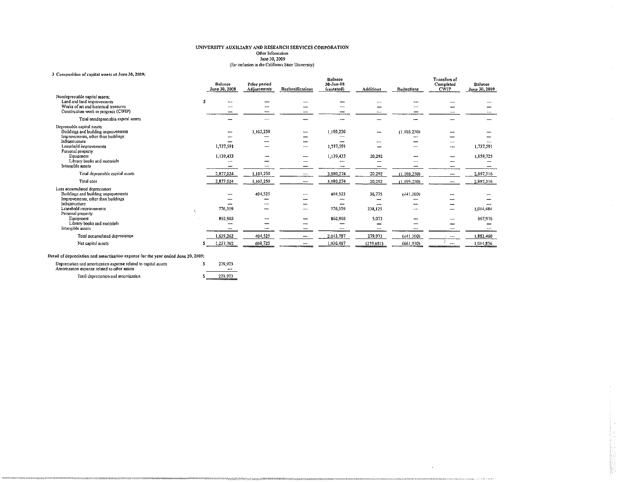### UNIVERSITY AUXILIARY AND RESEARCH SERVICES CORPORATION Other Information June 30, 2009<br>June 30, 2009<br>(for inclusion in the California State University)

 $\sim$ 

### 3 Composition of capital assets at June 30, 2009:

| Composition of capital assets at June 30, 2009; |   |                          |                             |                   |                                    |            |               |                                                 |                                 |
|-------------------------------------------------|---|--------------------------|-----------------------------|-------------------|------------------------------------|------------|---------------|-------------------------------------------------|---------------------------------|
|                                                 |   | Balance<br>Јипе 30, 2008 | Prior period<br>Adjustments | Reclassifications | Balance<br>30-Jun 08<br>(restated) | Additions  | Reductions    | <b>Transfers of</b><br>Completed<br><b>CWIP</b> | <b>Balance</b><br>June 30, 2009 |
| Nondepreciable capital assets:                  |   |                          |                             |                   |                                    |            |               |                                                 |                                 |
| Land and land improvements                      | s | --                       |                             |                   |                                    |            |               |                                                 |                                 |
| Works of art and historical treasures           |   |                          |                             |                   |                                    |            |               |                                                 |                                 |
| Construction work in progress (CWIP)            |   |                          |                             |                   |                                    |            |               |                                                 |                                 |
| Total nondepreciable capital assets             |   |                          |                             |                   |                                    |            |               |                                                 |                                 |
| Depreciable capital assets:                     |   |                          |                             |                   |                                    |            |               |                                                 |                                 |
| Buildings and building improvements             |   |                          | 1 103,250                   |                   | 1,103,250                          | -          | (1, 103, 250) |                                                 |                                 |
| Improvements, other than buildings              |   |                          |                             |                   |                                    |            |               |                                                 |                                 |
| Infrastructure                                  |   |                          |                             |                   |                                    |            |               |                                                 |                                 |
| Leasehold improvements                          |   | 1,737,591                |                             | سيسم              | 1,737,591                          |            |               | ---                                             | 1,737,591                       |
| Personal property:                              |   |                          |                             |                   |                                    |            |               |                                                 |                                 |
| Equipment                                       |   | 1,139,433                |                             |                   | 1,139,433                          | 20,292     |               |                                                 | 1,159,725                       |
| Library books and materials                     |   |                          |                             |                   |                                    |            |               |                                                 |                                 |
| Intangible assets                               |   |                          |                             |                   |                                    |            |               |                                                 |                                 |
| Total depreciable capital assets                |   | 2.877,024                | 1.103,250                   |                   | 3,980,274                          | 20.292     | (1.103, 250)  |                                                 | 2,897,316                       |
| Total cost                                      |   | 2,877,024                | 1,103,250                   |                   | 3,980.274                          | 20,292     | (1, 103, 250) |                                                 | 2,897,316                       |
| Less accumulated depreciation:                  |   |                          |                             |                   |                                    |            |               |                                                 |                                 |
| Buildings and building improvements             |   |                          | 404,525                     |                   | 404.525                            | 36,775     | (44, 300)     |                                                 |                                 |
| Improvements, other than buildings              |   |                          |                             |                   |                                    |            |               |                                                 |                                 |
| Infrastructure                                  |   |                          |                             | ----              |                                    |            |               |                                                 |                                 |
| Leasehold improvements                          |   | 776,359                  |                             | حسب               | 776,359                            | 238.125    |               |                                                 | 1,014,484                       |
| Personal property:                              |   |                          |                             |                   |                                    |            |               |                                                 |                                 |
| Equipment                                       |   | 862 903                  |                             |                   | 862,903                            | 5.073      |               |                                                 | 867,976                         |
| Library books and materials                     |   |                          |                             |                   |                                    | -          |               |                                                 |                                 |
| Intangible assets                               |   |                          |                             |                   | $\overline{\phantom{m}}$           |            |               |                                                 |                                 |
| Total accumulated depreciation                  |   | 1,639,262                | 404,525                     |                   | 2,043,787                          | 279,973    | (441,300)     |                                                 | 1,882,460                       |
| Net capital assets                              |   | 1,237,762                | 698,725                     |                   | 1,936,487                          | (259, 681) | (661,950)     |                                                 | 1,014,856                       |
|                                                 |   |                          |                             |                   |                                    |            |               |                                                 |                                 |

**INTERESTIONALISTIC** 

### Detail of depreciation and amortization expense for the year ended June 30, 2009:

| Depreciation and amortization expense related to capital assets<br>Amortization expense related to other assets | 279.973<br>---- |
|-----------------------------------------------------------------------------------------------------------------|-----------------|
| Total depreciation and amortization                                                                             | 279.973         |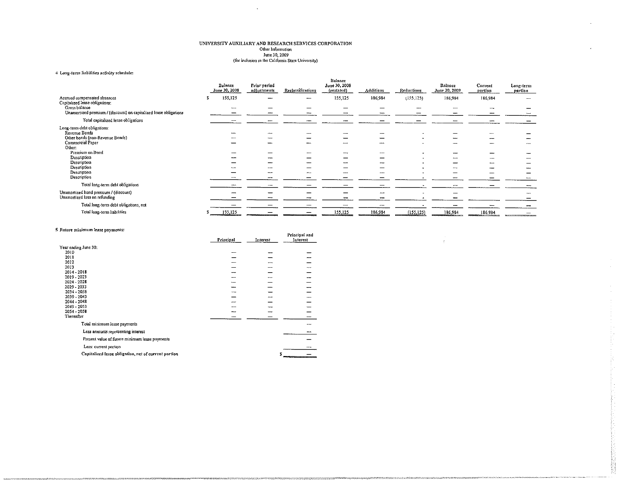## UNIVERSITY AUXILIARY AND RESEARCH SERVICES CORPORATION<br>
Other Information<br>
June 30, 2009<br>
(for inclusion in the California State University)

 $\Box$ 

### 4 Long-term liabilities activity schedule:

|                                                                                    | Balance<br>June 30, 2008 | Prior period<br>adjustments | Reclassifications | Ealance<br>June 30, 2008<br>(restated) | <b>Additions</b> | Reductions | Balance<br>June 30, 2009 | Current<br>portion | Long-term<br>portion |
|------------------------------------------------------------------------------------|--------------------------|-----------------------------|-------------------|----------------------------------------|------------------|------------|--------------------------|--------------------|----------------------|
| Accrued compensated absences<br>Capitalized lease obligations:                     | 155,125<br>ъ             |                             |                   | 155,125                                | 186,984          | (155, 125) | 186,984                  | 186 984            | ----                 |
| Gross balance<br>Unamortized premium / (discount) on capitalized lease obligations | $\overline{ }$           |                             |                   |                                        |                  |            |                          |                    |                      |
| Total capitalized lease obligations                                                |                          |                             |                   |                                        |                  |            |                          |                    |                      |
| Long-term debt obligations:<br>Revenue Bonds                                       |                          |                             |                   |                                        |                  |            |                          |                    |                      |
| Other bonds (non-Revenue Bonds)<br><b>Commercial Paper</b>                         |                          |                             |                   |                                        |                  |            |                          |                    |                      |
| Other:<br>Premium on Bond                                                          |                          |                             |                   |                                        |                  | ۰          |                          |                    |                      |
| Description<br>Description                                                         |                          |                             |                   |                                        |                  |            |                          |                    |                      |
| Description<br>Description                                                         |                          |                             |                   |                                        |                  |            |                          |                    |                      |
| Description<br>Total long-term debt obligations                                    |                          |                             |                   |                                        |                  |            |                          |                    |                      |
| Unamortized bond premium / (discount)                                              |                          |                             |                   |                                        |                  |            |                          |                    |                      |
| Unamortized loss on refunding<br>Total long-term debt obligations, net             |                          |                             |                   |                                        |                  |            |                          |                    |                      |
| Total long-term liabilities                                                        | 155,125                  |                             |                   | 155,125                                | 186,984          | (155, 125) | 186,984                  | 186,984            |                      |

Principal and

 $\frac{1}{2}$ 

 $\sim$ 

 $\sim$ 

#### 5 Future minimum lease payments:

|                                                      | Principal | Interest | Interest |
|------------------------------------------------------|-----------|----------|----------|
| Year ending June 30:                                 |           |          |          |
| 2010                                                 | ----      |          |          |
| 2011                                                 |           |          |          |
| 2012                                                 |           |          |          |
| 2013                                                 |           |          |          |
| 2014 - 2018                                          |           |          |          |
| 2019 - 2023                                          |           | سبب      |          |
| 2024 - 2028                                          |           |          |          |
| 2029 - 2033                                          |           |          |          |
| 2014 - 2033                                          |           |          |          |
| 2039 - 2043                                          |           |          |          |
| 2044 - 2048                                          | atomat.   |          |          |
| 2049 - 2053                                          |           |          |          |
| 2054 - 2058                                          |           |          |          |
| Thereafter                                           |           |          |          |
| Total minimum lease payments                         |           |          |          |
| Less amounts representing interest                   |           |          |          |
| Present value of future minimum lease payments       |           |          |          |
| Less: current portion                                |           |          |          |
| Capitalized lease obligation, net of current portion |           | s        |          |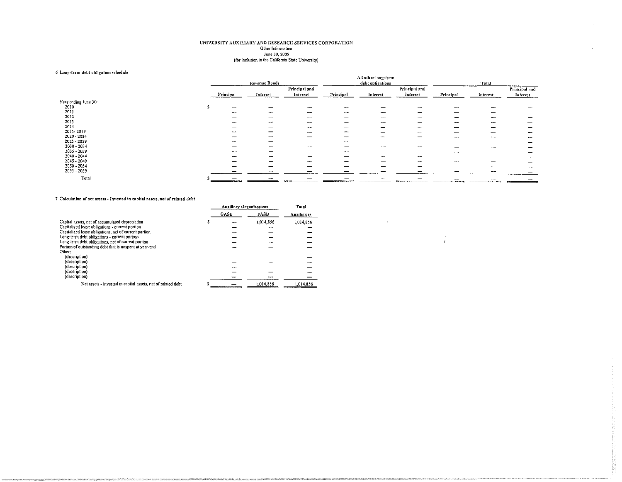## UNIVERSITY AUXILIARY AND RESEARCH SERVICES CORPORATION Other Information June 30, 2009<br>Ime 30, 2009<br>(For inclusion in the California State University)

### 6 Long-term debt obligation schedule

| mongaret in anne annisumme at meante |             |               |                                                                 |                    | All other long-term      |                          |           |          |                          |
|--------------------------------------|-------------|---------------|-----------------------------------------------------------------|--------------------|--------------------------|--------------------------|-----------|----------|--------------------------|
|                                      |             | Revenue Bonds |                                                                 |                    | debt obligations         |                          |           | Total    |                          |
|                                      |             |               | Principal and                                                   |                    |                          | Principal and            |           |          | Principal and            |
|                                      | Principal   | interest      | Interest                                                        | Principal          | Interest                 | Interest                 | Principal | Interest | Interest                 |
| Year ending June 30:                 |             |               |                                                                 |                    |                          |                          |           |          |                          |
| 2010                                 | <b>MARA</b> |               |                                                                 |                    |                          |                          |           |          |                          |
| 2011                                 |             | $-$           | ----                                                            |                    | ----                     |                          | $-$       |          |                          |
| 2012                                 |             |               |                                                                 |                    | ----                     |                          |           |          | $-$                      |
| 2013                                 |             | -----         |                                                                 |                    | $\overline{\phantom{a}}$ |                          |           |          | --                       |
| 2014                                 |             |               |                                                                 |                    | --                       |                          | ----      | -        |                          |
| 2015-2019                            |             |               |                                                                 |                    | -                        | T                        | ----      |          | --                       |
| 2020 - 2024                          |             | <b>AAAAA</b>  |                                                                 | $-$                | -                        |                          | ----      |          | $+$                      |
| 2025 - 2029                          |             |               |                                                                 |                    |                          |                          | جمعد      |          | -                        |
| 2030 - 2034                          |             | $-$           | ---                                                             |                    | سىسە                     | --                       |           |          | $\overline{\phantom{a}}$ |
| 2035 - 2039                          |             |               |                                                                 | <b>MALAA</b>       |                          | $\cdots$                 | ,,,,,     |          | ----                     |
| 2040 - 2044                          |             | $\cdots$      |                                                                 |                    |                          |                          |           |          | --                       |
| $2045 - 2049$                        |             |               | ---                                                             |                    |                          | $\overline{\phantom{a}}$ | ---       |          | –                        |
| 2050 - 2054                          | <b>AAAA</b> | ---           |                                                                 | <b>Automobile</b>  |                          |                          |           |          | $-$                      |
| 2055 - 2059                          |             |               | ---                                                             |                    |                          |                          |           |          |                          |
| Total                                |             |               |                                                                 |                    |                          |                          |           |          |                          |
|                                      |             |               | <b><i>Contact My Discovery Contact Art Contact Art 2004</i></b> | ------------------ |                          |                          |           |          | _____                    |

 $\sim$ 

 $\frac{1}{2}$ 

### 7 Calculation of net assets - Invested in capital assets, net of related debt

|                                                              | <b>Auxiliary Organizations</b> |           | Total       |
|--------------------------------------------------------------|--------------------------------|-----------|-------------|
|                                                              | <b>GASB</b>                    | FASB      | Auxiliaries |
| Capital assets, net of accumulated depreciation              |                                | 1,014,856 | 1,014,856   |
| Capitalized lease obligations - current portion              |                                |           |             |
| Capitalized lease obligations, net of current portion        |                                |           |             |
| Long-term debt obligations - current portion                 |                                |           |             |
| Long-term debt obligations, net of current portion           |                                |           |             |
| Portion of outstanding debt that is unspent at year-end      |                                |           |             |
| Other:                                                       |                                |           |             |
| (description)                                                |                                |           |             |
| (description)                                                |                                |           |             |
| (description)                                                |                                |           |             |
| (description)                                                |                                |           |             |
| (description)                                                |                                |           |             |
| Net assets - invested in capital assets, net of related debt |                                | 1.014.856 | 1.014.856   |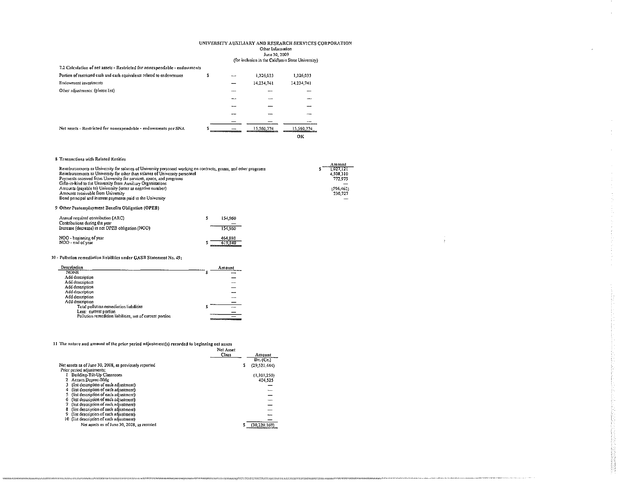### UNIVERSITY AUXILIARY AND RESEARCH SERVICES CORPORATION Other Information June 30, 2009<br>(for inclusion in the California State University)

 $\sim$ 

 $\sim$ 

 $\bar{z}$  $\langle \rangle$ 

| 7.2 Calculation of net assets - Restricted for nonexpendable - endowments |   |      |            |            |
|---------------------------------------------------------------------------|---|------|------------|------------|
| Portion of restricted cash and cash equivalents related to endowments     | s | ---- | 1,326,033  | 1326033    |
| Endowment investments                                                     |   |      | 14,234,741 | 14,234.741 |
| Other adjustments: (please list)                                          |   | ---- |            |            |
|                                                                           |   |      | مست        |            |
|                                                                           |   | ---  |            |            |
|                                                                           |   |      |            |            |
|                                                                           |   |      |            |            |
| Net assets - Restricted for nonexpendable - endowments per SNA            | £ |      | 15.560.774 | 15.560.774 |
|                                                                           |   |      |            | OК         |

### 8 Transactions with Related Entities

| <b>Leadsachors with incidied emittes</b>                                                                                                                                                                                                                                                                                                                                                                                                                                                                     |                         |                                                                      |
|--------------------------------------------------------------------------------------------------------------------------------------------------------------------------------------------------------------------------------------------------------------------------------------------------------------------------------------------------------------------------------------------------------------------------------------------------------------------------------------------------------------|-------------------------|----------------------------------------------------------------------|
| Reimbursements to University for salaries of University personnel working on contracts, grants, and other programs<br>Reimbursements to University for other than salaries of University personnel<br>Payments received from University for services, space, and programs<br>Gifts-in-kind to the University from Auxiliary Organizations<br>Amounts (payable to) University (enter as negative number)<br>Amounts receivable from University<br>Bond principal and interest payments paid to the University |                         | Amount<br>1.027, 121<br>4.508.310<br>772.975<br>(596.462)<br>230,727 |
| Other Postemployment Benefits Obligation (OPEB)                                                                                                                                                                                                                                                                                                                                                                                                                                                              |                         |                                                                      |
| Annual required contribution (ARC)<br>Contributions during the year<br>Increase (decrease) in net OPEB obligation (NOO)                                                                                                                                                                                                                                                                                                                                                                                      | 154,960<br>s<br>154,960 |                                                                      |
| NOO - beginning of year<br>NOO - end of year                                                                                                                                                                                                                                                                                                                                                                                                                                                                 | 464,880<br>619.840      |                                                                      |

### 10 - Pollution remediation liabilities under GASB Statement No. 49;

| Description                                              |   | Amount                          |
|----------------------------------------------------------|---|---------------------------------|
| <b>NONE</b>                                              | S |                                 |
| Add description                                          |   |                                 |
| Add description                                          |   |                                 |
| Add description                                          |   |                                 |
| Add description                                          |   | ----                            |
| Add description                                          |   | $\overline{ }$                  |
| Add description                                          |   |                                 |
| Total pollution remediation liabilities                  |   | <b>Automatic</b>                |
| Less: current portion                                    |   |                                 |
| Pollution remedition liabilities, net of current portion |   |                                 |
|                                                          |   | <b>The age of the company's</b> |

## l The nature and amount of the prior period adjustment(s) recorded to beginning net assets<br>Net Asso

|                                                        | inet Asset |                |
|--------------------------------------------------------|------------|----------------|
|                                                        | Class      | Amount         |
|                                                        |            | Dr. (Cr.)      |
| Net assets as of June 30, 2008, as previously reported | s          | (29, 521, 444) |
| Prior period adjustments:                              |            |                |
| Building-Tilt-Up Classroom                             |            | (1.103.250)    |
| Accum Deprec-Bldg                                      |            | 404.525        |
| (list description of each adjustment)                  |            |                |
| (list description of each adjustment)                  |            |                |
| (list description of each adjustment)                  |            |                |
| (list description of each adjustment)                  |            |                |
| (list description of each adjustment)                  |            |                |
| (list description of each adjustment)<br>8             |            |                |
| (list description of each adjustment)<br>9             |            |                |
| 10 (list description of each adjustment)               |            |                |
| Net assets as of June 30, 2008, as restated            |            |                |